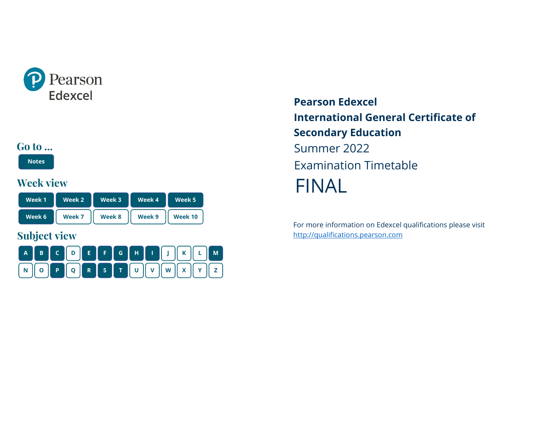<span id="page-0-0"></span>

#### **Go to ...**

**[Notes](#page-1-0)**

### **Week view**

| Week 1 | Week 2 | Week 3 | Week 4 | Week 5  |
|--------|--------|--------|--------|---------|
| Week 6 | Week 7 | Week 8 | Week 9 | Week 10 |

# **Subject view**



**Pearson Edexcel International General Certificate of Secondary Education** Summer 2022 Examination Timetable FINAL

For more information on Edexcel qualifications please visit [http://qualifications.pearson.com](http://qualifications.pearson.com/)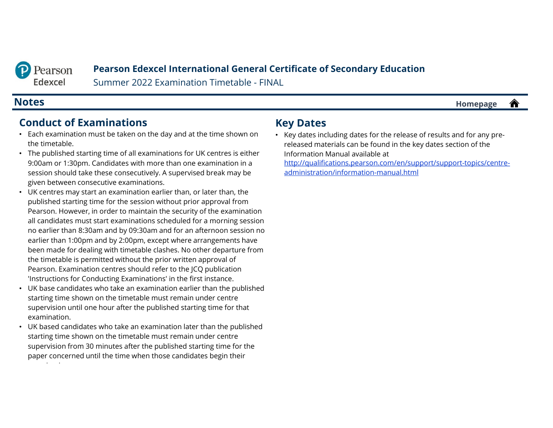<span id="page-1-0"></span>

#### **Pearson Edexcel International General Certificate of Secondary Education**

Summer 2022 Examination Timetable - FINAL

#### **Notes [Homepage](#page-0-0)**

#### **Conduct of Examinations**

- Each examination must be taken on the day and at the time shown on the timetable.
- The published starting time of all examinations for UK centres is either 9:00am or 1:30pm. Candidates with more than one examination in a session should take these consecutively. A supervised break may be given between consecutive examinations.
- UK centres may start an examination earlier than, or later than, the published starting time for the session without prior approval from Pearson. However, in order to maintain the security of the examination all candidates must start examinations scheduled for a morning session no earlier than 8:30am and by 09:30am and for an afternoon session no earlier than 1:00pm and by 2:00pm, except where arrangements have been made for dealing with timetable clashes. No other departure from the timetable is permitted without the prior written approval of Pearson. Examination centres should refer to the JCQ publication 'Instructions for Conducting Examinations' in the first instance.
- UK base candidates who take an examination earlier than the published starting time shown on the timetable must remain under centre supervision until one hour after the published starting time for that examination.
- UK based candidates who take an examination later than the published starting time shown on the timetable must remain under centre supervision from 30 minutes after the published starting time for the paper concerned until the time when those candidates begin their i i

#### **Key Dates**

• Key dates including dates for the release of results and for any prereleased materials can be found in the key dates section of the Information Manual available at [http://qualifications.pearson.com/en/support/support-topics/centre-](http://qualifications.pearson.com/en/support/support-topics/centre-administration/information-manual.html)

合

administration/information-manual.html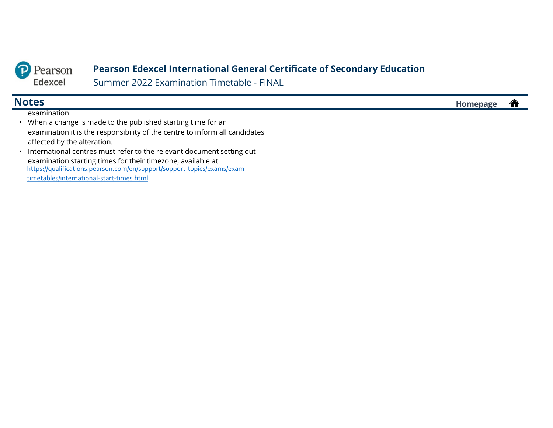

examination.

#### **Pearson Edexcel International General Certificate of Secondary Education**

Summer 2022 Examination Timetable - FINAL

**Notes [Homepage](#page-0-0)** 合

- When a change is made to the published starting time for an examination it is the responsibility of the centre to inform all candidates affected by the alteration.
- International centres must refer to the relevant document setting out examination starting times for their timezone, available at [https://qualifications.pearson.com/en/support/support-topics/exams/exam](https://qualifications.pearson.com/en/support/support-topics/exams/exam-timetables/international-start-times.html)timetables/international-start-times.html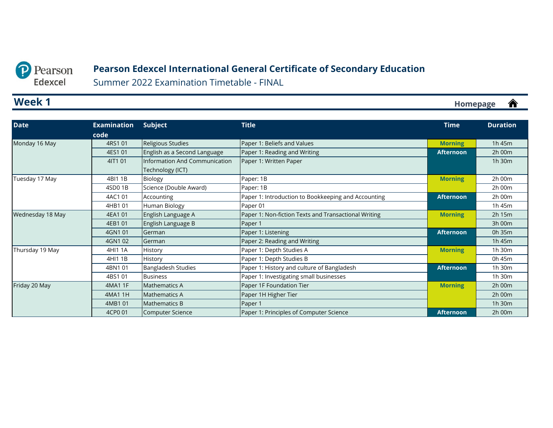<span id="page-3-0"></span>

### **Pearson Edexcel International General Certificate of Secondary Education**

Summer 2022 Examination Timetable - FINAL

### **Week 1**

| <b>Date</b>      | <b>Examination</b> | Subject                       | <b>Title</b>                                         | <b>Time</b>      | <b>Duration</b> |
|------------------|--------------------|-------------------------------|------------------------------------------------------|------------------|-----------------|
|                  | code               |                               |                                                      |                  |                 |
| Monday 16 May    | 4RS1 01            | Religious Studies             | Paper 1: Beliefs and Values                          | <b>Morning</b>   | 1h 45m          |
|                  | 4ES1 01            | English as a Second Language  | Paper 1: Reading and Writing                         | <b>Afternoon</b> | 2h 00m          |
|                  | 4IT1 01            | Information And Communication | Paper 1: Written Paper                               |                  | 1h 30m          |
|                  |                    | Technology (ICT)              |                                                      |                  |                 |
| Tuesday 17 May   | 4BI1 1B            | Biology                       | Paper: 1B                                            | <b>Morning</b>   | 2h 00m          |
|                  | 4SD0 1B            | Science (Double Award)        | Paper: 1B                                            |                  | 2h 00m          |
|                  | 4AC101             | Accounting                    | Paper 1: Introduction to Bookkeeping and Accounting  | <b>Afternoon</b> | 2h 00m          |
|                  | 4HB1 01            | Human Biology                 | Paper 01                                             |                  | 1h 45m          |
| Wednesday 18 May | 4EA1 01            | English Language A            | Paper 1: Non-fiction Texts and Transactional Writing | <b>Morning</b>   | 2h 15m          |
|                  | 4EB1 01            | English Language B            | Paper 1                                              |                  | 3h 00m          |
|                  | 4GN1 01            | German                        | Paper 1: Listening                                   | <b>Afternoon</b> | 0h 35m          |
|                  | 4GN102             | German                        | Paper 2: Reading and Writing                         |                  | 1h 45m          |
| Thursday 19 May  | 4HI1 1A            | History                       | Paper 1: Depth Studies A                             | <b>Morning</b>   | 1h 30m          |
|                  | 4HI1 1B            | History                       | Paper 1: Depth Studies B                             |                  | 0h 45m          |
|                  | 4BN101             | Bangladesh Studies            | Paper 1: History and culture of Bangladesh           | <b>Afternoon</b> | 1h 30m          |
|                  | 4BS101             | <b>Business</b>               | Paper 1: Investigating small businesses              |                  | 1h 30m          |
| Friday 20 May    | 4MA1 1F            | Mathematics A                 | Paper 1F Foundation Tier                             | <b>Morning</b>   | 2h 00m          |
|                  | 4MA11H             | <b>Mathematics A</b>          | Paper 1H Higher Tier                                 |                  | 2h 00m          |
|                  | 4MB101             | <b>Mathematics B</b>          | Paper 1                                              |                  | 1h 30m          |
|                  | 4CP0 01            | Computer Science              | Paper 1: Principles of Computer Science              | <b>Afternoon</b> | 2h 00m          |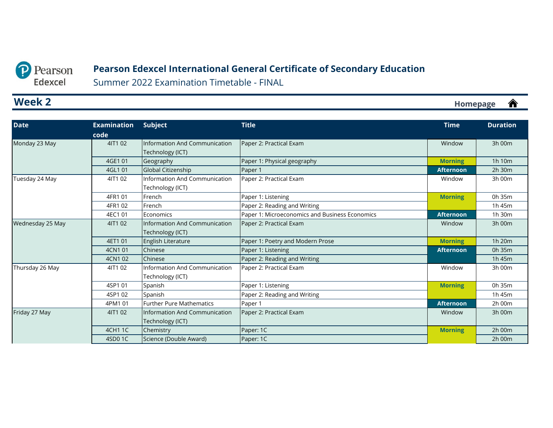### **Pearson Edexcel International General Certificate of Secondary Education**

Summer 2022 Examination Timetable - FINAL

### <span id="page-4-0"></span>**Week 2**

| <b>Date</b>      | <b>Examination</b> | Subject                              | <b>Title</b>                                   | <b>Time</b>      | <b>Duration</b> |
|------------------|--------------------|--------------------------------------|------------------------------------------------|------------------|-----------------|
|                  | code               |                                      |                                                |                  |                 |
| Monday 23 May    | 4IT1 02            | Information And Communication        | Paper 2: Practical Exam                        | Window           | 3h 00m          |
|                  |                    | Technology (ICT)                     |                                                |                  |                 |
|                  | 4GE1 01            | Geography                            | Paper 1: Physical geography                    | <b>Morning</b>   | 1h 10m          |
|                  | 4GL1 01            | Global Citizenship                   | Paper 1                                        | <b>Afternoon</b> | 2h 30m          |
| Tuesday 24 May   | 4IT1 02            | Information And Communication        | Paper 2: Practical Exam                        | Window           | 3h 00m          |
|                  |                    | Technology (ICT)                     |                                                |                  |                 |
|                  | 4FR1 01            | French                               | Paper 1: Listening                             | <b>Morning</b>   | 0h 35m          |
|                  | 4FR1 02            | French                               | Paper 2: Reading and Writing                   |                  | 1h 45m          |
|                  | 4EC1 01            | Economics                            | Paper 1: Microeconomics and Business Economics | <b>Afternoon</b> | 1h 30m          |
| Wednesday 25 May | 4IT1 02            | Information And Communication        | Paper 2: Practical Exam                        | Window           | 3h 00m          |
|                  |                    | Technology (ICT)                     |                                                |                  |                 |
|                  | 4ET1 01            | English Literature                   | Paper 1: Poetry and Modern Prose               | <b>Morning</b>   | 1h 20m          |
|                  | 4CN1 01            | Chinese                              | Paper 1: Listening                             | <b>Afternoon</b> | 0h 35m          |
|                  | 4CN1 02            | Chinese                              | Paper 2: Reading and Writing                   |                  | 1h 45m          |
| Thursday 26 May  | 4IT1 02            | Information And Communication        | Paper 2: Practical Exam                        | Window           | 3h 00m          |
|                  |                    | Technology (ICT)                     |                                                |                  |                 |
|                  | 4SP1 01            | Spanish                              | Paper 1: Listening                             | <b>Morning</b>   | 0h 35m          |
|                  | 4SP1 02            | Spanish                              | Paper 2: Reading and Writing                   |                  | 1h 45m          |
|                  | 4PM1 01            | <b>Further Pure Mathematics</b>      | Paper 1                                        | <b>Afternoon</b> | 2h 00m          |
| Friday 27 May    | 4IT1 02            | <b>Information And Communication</b> | Paper 2: Practical Exam                        | Window           | 3h 00m          |
|                  |                    | Technology (ICT)                     |                                                |                  |                 |
|                  | <b>4CH11C</b>      | Chemistry                            | Paper: 1C                                      | <b>Morning</b>   | 2h 00m          |
|                  | 4SD0 1C            | Science (Double Award)               | Paper: 1C                                      |                  | 2h 00m          |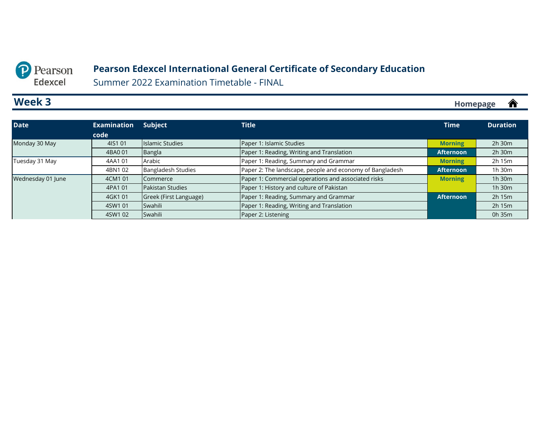### **Pearson Edexcel International General Certificate of Secondary Education**

Summer 2022 Examination Timetable - FINAL

### <span id="page-5-0"></span>**Week 3**

| <b>Date</b>       | <b>Examination</b><br>code | <b>Subject</b>            | <b>Title</b>                                             | <b>Time</b>      | <b>Duration</b> |
|-------------------|----------------------------|---------------------------|----------------------------------------------------------|------------------|-----------------|
| Monday 30 May     | 4IS1 01                    | Islamic Studies           | Paper 1: Islamic Studies                                 | <b>Morning</b>   | $2h$ 30 $m$     |
|                   | 4BA0 01                    | Bangla                    | Paper 1: Reading, Writing and Translation                | <b>Afternoon</b> | $2h$ 30 $m$     |
| Tuesday 31 May    | 4AA101                     | Arabic                    | Paper 1: Reading, Summary and Grammar                    | <b>Morning</b>   | 2h 15m          |
|                   | 4BN102                     | <b>Bangladesh Studies</b> | Paper 2: The landscape, people and economy of Bangladesh | <b>Afternoon</b> | 1h 30m          |
| Wednesday 01 June | 4CM1 01                    | Commerce                  | Paper 1: Commercial operations and associated risks      | <b>Morning</b>   | 1h 30m          |
|                   | 4PA1 01                    | <b>Pakistan Studies</b>   | Paper 1: History and culture of Pakistan                 |                  | 1h 30m          |
|                   | 4GK101                     | Greek (First Language)    | Paper 1: Reading, Summary and Grammar                    | <b>Afternoon</b> | $2h$ 15 $m$     |
|                   | 4SW1 01                    | Swahili                   | Paper 1: Reading, Writing and Translation                |                  | 2h 15m          |
|                   | 4SW1 02                    | Swahili                   | Paper 2: Listening                                       |                  | 0h 35m          |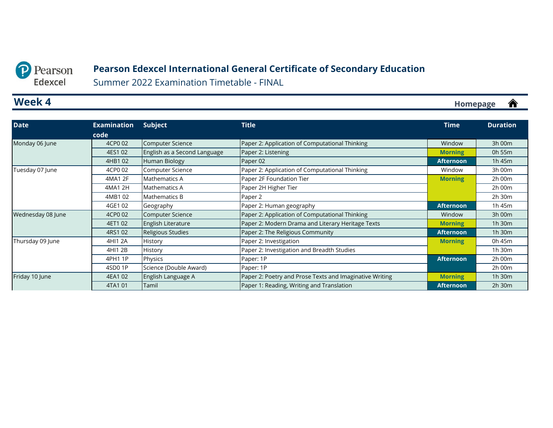#### <span id="page-6-0"></span>Pearson  $\mathbf{D}$ Edexcel

### **Pearson Edexcel International General Certificate of Secondary Education**

Summer 2022 Examination Timetable - FINAL

### **Week 4**

| <b>Date</b>       | <b>Examination</b> | Subject                      | <b>Title</b>                                            | <b>Time</b>      | <b>Duration</b> |
|-------------------|--------------------|------------------------------|---------------------------------------------------------|------------------|-----------------|
|                   | code               |                              |                                                         |                  |                 |
| Monday 06 June    | 4CP0 02            | Computer Science             | Paper 2: Application of Computational Thinking          | Window           | 3h 00m          |
|                   | 4ES1 02            | English as a Second Language | Paper 2: Listening                                      | <b>Morning</b>   | 0h 55m          |
|                   | 4HB102             | Human Biology                | Paper 02                                                | <b>Afternoon</b> | 1h 45m          |
| Tuesday 07 June   | 4CP0 02            | Computer Science             | Paper 2: Application of Computational Thinking          | Window           | 3h 00m          |
|                   | 4MA1 2F            | Mathematics A                | Paper 2F Foundation Tier                                | <b>Morning</b>   | 2h 00m          |
|                   | 4MA1 2H            | Mathematics A                | Paper 2H Higher Tier                                    |                  | 2h 00m          |
|                   | 4MB102             | Mathematics B                | Paper 2                                                 |                  | 2h 30m          |
|                   | 4GE1 02            | Geography                    | Paper 2: Human geography                                | <b>Afternoon</b> | 1h 45m          |
| Wednesday 08 June | 4CP0 02            | Computer Science             | Paper 2: Application of Computational Thinking          | Window           | 3h 00m          |
|                   | 4ET1 02            | English Literature           | Paper 2: Modern Drama and Literary Heritage Texts       | <b>Morning</b>   | 1h 30m          |
|                   | 4RS1 02            | Religious Studies            | Paper 2: The Religious Community                        | Afternoon        | 1h 30m          |
| Thursday 09 June  | 4HI1 2A            | History                      | Paper 2: Investigation                                  | <b>Morning</b>   | 0h 45m          |
|                   | 4HI1 2B            | History                      | Paper 2: Investigation and Breadth Studies              |                  | 1h 30m          |
|                   | 4PH1 1P            | Physics                      | Paper: 1P                                               | <b>Afternoon</b> | 2h 00m          |
|                   | 4SD01P             | Science (Double Award)       | Paper: 1P                                               |                  | 2h 00m          |
| Friday 10 June    | 4EA1 02            | English Language A           | Paper 2: Poetry and Prose Texts and Imaginative Writing | <b>Morning</b>   | 1h 30m          |
|                   | 4TA1 01            | Tamil                        | Paper 1: Reading, Writing and Translation               | <b>Afternoon</b> | 2h 30m          |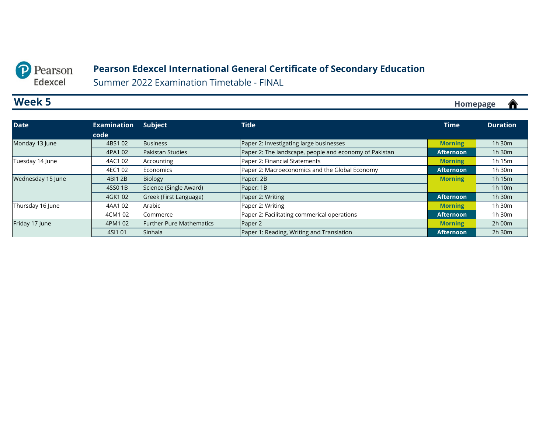#### <span id="page-7-0"></span>Pearson  $\mathbf{D}$ Edexcel

### **Pearson Edexcel International General Certificate of Secondary Education**

Summer 2022 Examination Timetable - FINAL

### **Week 5**

**[Homepage](#page-0-0)**

<mark></u></mark>

| <b>Date</b>       | <b>Examination</b> | <b>Subject</b>                  | <b>Title</b>                                           | <b>Time</b>      | <b>Duration</b> |
|-------------------|--------------------|---------------------------------|--------------------------------------------------------|------------------|-----------------|
|                   | code               |                                 |                                                        |                  |                 |
| Monday 13 June    | 4BS102             | <b>Business</b>                 | Paper 2: Investigating large businesses                | <b>Morning</b>   | 1h 30m          |
|                   | 4PA1 02            | Pakistan Studies                | Paper 2: The landscape, people and economy of Pakistan | <b>Afternoon</b> | 1h 30m          |
| Tuesday 14 June   | 4AC1 02            | Accounting                      | Paper 2: Financial Statements                          | <b>Morning</b>   | 1h 15m          |
|                   | 4EC1 02            | Economics                       | Paper 2: Macroeconomics and the Global Economy         | <b>Afternoon</b> | 1h 30m          |
| Wednesday 15 June | 4BI1 2B            | Biology                         | Paper: 2B                                              | <b>Morning</b>   | 1h 15m          |
|                   | 4SS0 1B            | Science (Single Award)          | Paper: 1B                                              |                  | 1h 10m          |
|                   | 4GK102             | Greek (First Language)          | Paper 2: Writing                                       | <b>Afternoon</b> | 1h 30m          |
| Thursday 16 June  | 4AA102             | Arabic                          | Paper 2: Writing                                       | <b>Morning</b>   | 1h 30m          |
|                   | 4CM1 02            | Commerce                        | Paper 2: Facilitating commerical operations            | <b>Afternoon</b> | 1h 30m          |
| Friday 17 June    | 4PM1 02            | <b>Further Pure Mathematics</b> | Paper 2                                                | <b>Morning</b>   | $2h$ 00 $m$     |
|                   | 4SI1 01            | Sinhala                         | Paper 1: Reading, Writing and Translation              | Afternoon        | $2h$ 30 $m$     |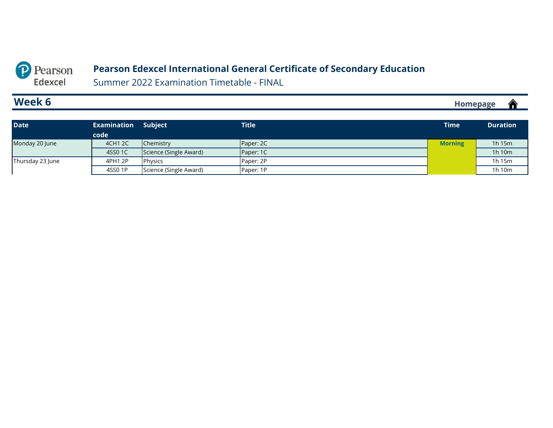### **Pearson Edexcel International General Certificate of Secondary Education**

Summer 2022 Examination Timetable - FINAL

### <span id="page-8-0"></span>**Week 6**

**[Homepage](#page-0-0)**

<mark></u></mark>

| <b>Date</b>      | Examination | <b>Subject</b>         | <b>Title</b> | Time           | <b>Duration</b> |
|------------------|-------------|------------------------|--------------|----------------|-----------------|
|                  | code        |                        |              |                |                 |
| Monday 20 June   | 4CH1 2C     | Chemistry              | Paper: 2C    | <b>Morning</b> | 1h 15m          |
|                  | 4SS0 1C     | Science (Single Award) | Paper: 1C    |                | 1h 10m          |
| Thursday 23 June | 4PH1 2P     | Physics                | Paper: 2P    |                | 1h 15m          |
|                  | 4SS0 1P     | Science (Single Award) | Paper: 1P    |                | 1h 10m          |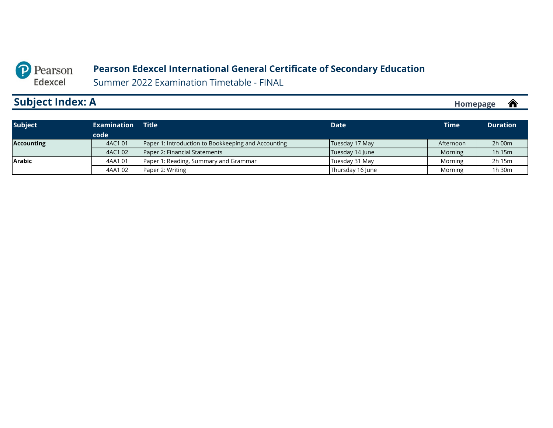#### **Pearson Edexcel International General Certificate of Secondary Education**

Summer 2022 Examination Timetable - FINAL

# <span id="page-9-0"></span>**Subject Index: A**

| <b>Subject</b>    | <b>Examination</b> | <b>Title</b>                                        | <b>Date</b>      | <b>Time</b> | <b>Duration</b> |
|-------------------|--------------------|-----------------------------------------------------|------------------|-------------|-----------------|
|                   | code               |                                                     |                  |             |                 |
| <b>Accounting</b> | 4AC1 01            | Paper 1: Introduction to Bookkeeping and Accounting | Tuesday 17 May   | Afternoon   | $2h$ 00 $m$     |
|                   | 4AC1 02            | Paper 2: Financial Statements                       | Tuesday 14 June  | Morning     | 1h 15m          |
| <b>Arabic</b>     | 4AA101             | Paper 1: Reading, Summary and Grammar               | Tuesday 31 May   | Morning     | 2h 15m          |
|                   | 4AA102             | Paper 2: Writing                                    | Thursday 16 June | Morning     | 1h 30m          |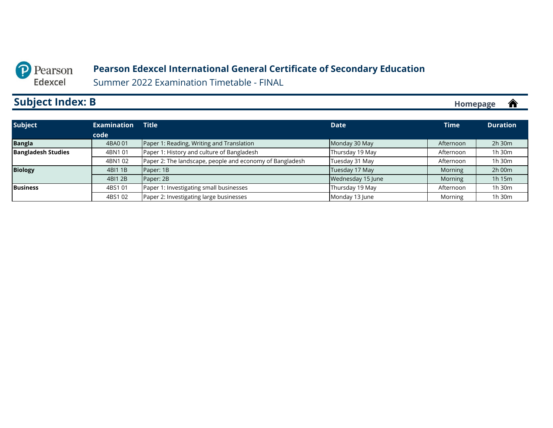#### **Pearson Edexcel International General Certificate of Secondary Education**

Summer 2022 Examination Timetable - FINAL

# <span id="page-10-0"></span>**Subject Index: B**

| <b>Subject</b>            | <b>Examination</b> | <b>Title</b>                                             | <b>Date</b>       | <b>Time</b> | <b>Duration</b> |
|---------------------------|--------------------|----------------------------------------------------------|-------------------|-------------|-----------------|
|                           | code               |                                                          |                   |             |                 |
| <b>Bangla</b>             | 4BA0 01            | Paper 1: Reading, Writing and Translation                | Monday 30 May     | Afternoon   | $2h$ 30 $m$     |
| <b>Bangladesh Studies</b> | 4BN101             | Paper 1: History and culture of Bangladesh               | Thursday 19 May   | Afternoon   | 1h 30m          |
|                           | 4BN102             | Paper 2: The landscape, people and economy of Bangladesh | Tuesday 31 May    | Afternoon   | 1h 30m          |
| <b>Biology</b>            | 4BI1 1B            | Paper: 1B                                                | Tuesday 17 May    | Morning     | 2h 00m          |
|                           | 4BI1 2B            | Paper: 2B                                                | Wednesday 15 June | Morning     | 1h 15m          |
| <b>Business</b>           | 4BS1 01            | Paper 1: Investigating small businesses                  | Thursday 19 May   | Afternoon   | 1h 30m          |
|                           | 4BS102             | Paper 2: Investigating large businesses                  | Monday 13 June    | Morning     | 1h 30m          |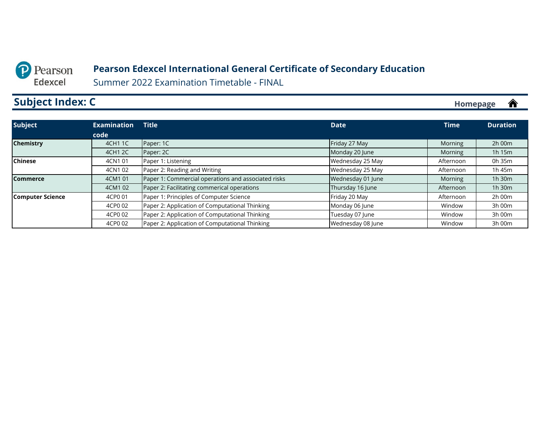#### **Pearson Edexcel International General Certificate of Secondary Education**

Summer 2022 Examination Timetable - FINAL

# <span id="page-11-0"></span>**Subject Index: C**

| <b>Subject</b>          | <b>Examination</b> | <b>Title</b>                                        | <b>Date</b>       | <b>Time</b> | <b>Duration</b> |
|-------------------------|--------------------|-----------------------------------------------------|-------------------|-------------|-----------------|
|                         | code               |                                                     |                   |             |                 |
| <b>Chemistry</b>        | 4CH1 1C            | Paper: 1C                                           | Friday 27 May     | Morning     | $2h$ 00 $m$     |
|                         | 4CH1 2C            | Paper: 2C                                           | Monday 20 June    | Morning     | 1h 15m          |
| <b>Chinese</b>          | 4CN1 01            | Paper 1: Listening                                  | Wednesday 25 May  | Afternoon   | 0h 35m          |
|                         | 4CN102             | Paper 2: Reading and Writing                        | Wednesday 25 May  | Afternoon   | 1h 45m          |
| <b>Commerce</b>         | 4CM1 01            | Paper 1: Commercial operations and associated risks | Wednesday 01 June | Morning     | 1h 30m          |
|                         | 4CM1 02            | Paper 2: Facilitating commerical operations         | Thursday 16 June  | Afternoon   | 1h 30m          |
| <b>Computer Science</b> | 4CP0 01            | Paper 1: Principles of Computer Science             | Friday 20 May     | Afternoon   | $2h$ 00 $m$     |
|                         | 4CP0 02            | Paper 2: Application of Computational Thinking      | Monday 06 June    | Window      | 3h 00m          |
|                         | 4CP0 02            | Paper 2: Application of Computational Thinking      | Tuesday 07 June   | Window      | 3h 00m          |
|                         | 4CP0 02            | Paper 2: Application of Computational Thinking      | Wednesday 08 June | Window      | 3h 00m          |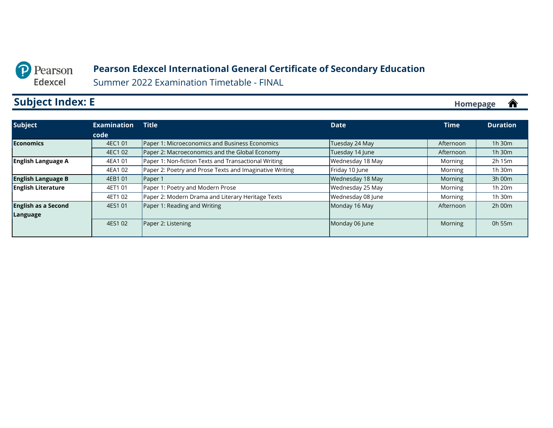<span id="page-12-0"></span>

#### **Pearson Edexcel International General Certificate of Secondary Education**

Summer 2022 Examination Timetable - FINAL

# **Subject Index: E**

| <b>Subject</b>             | <b>Examination</b> | <b>Title</b>                                            | <b>Date</b>       | <b>Time</b> | <b>Duration</b> |
|----------------------------|--------------------|---------------------------------------------------------|-------------------|-------------|-----------------|
|                            | code               |                                                         |                   |             |                 |
| <b>Economics</b>           | 4EC1 01            | Paper 1: Microeconomics and Business Economics          | Tuesday 24 May    | Afternoon   | $1h$ 30 $m$     |
|                            | 4EC1 02            | Paper 2: Macroeconomics and the Global Economy          | Tuesday 14 June   | Afternoon   | $1h$ 30 $m$     |
| <b>English Language A</b>  | 4EA1 01            | Paper 1: Non-fiction Texts and Transactional Writing    | Wednesday 18 May  | Morning     | 2h 15m          |
|                            | 4EA1 02            | Paper 2: Poetry and Prose Texts and Imaginative Writing | Friday 10 June    | Morning     | 1h 30m          |
| <b>English Language B</b>  | 4EB1 01            | Paper 1                                                 | Wednesday 18 May  | Morning     | 3h 00m          |
| <b>English Literature</b>  | 4ET1 01            | Paper 1: Poetry and Modern Prose                        | Wednesday 25 May  | Morning     | 1h 20m          |
|                            | 4ET1 02            | Paper 2: Modern Drama and Literary Heritage Texts       | Wednesday 08 June | Morning     | 1h 30m          |
| <b>English as a Second</b> | 4ES1 01            | Paper 1: Reading and Writing                            | Monday 16 May     | Afternoon   | 2h 00m          |
| Language                   |                    |                                                         |                   |             |                 |
|                            | 4ES1 02            | Paper 2: Listening                                      | Monday 06 June    | Morning     | 0h 55m          |
|                            |                    |                                                         |                   |             |                 |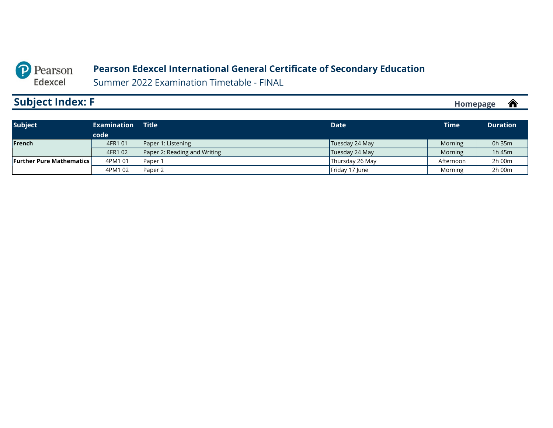#### **Pearson Edexcel International General Certificate of Secondary Education**

Summer 2022 Examination Timetable - FINAL

# <span id="page-13-0"></span>**Subject Index: F**

| <b>Subject</b>                    | <b>Examination</b><br>code | Title                        | <b>Date</b>     | Time      | <b>Duration</b> |
|-----------------------------------|----------------------------|------------------------------|-----------------|-----------|-----------------|
| <b>IFrench</b>                    | 4FR1 01                    | Paper 1: Listening           | Tuesday 24 May  | Morning   | 0h 35m          |
|                                   | 4FR1 02                    | Paper 2: Reading and Writing | Tuesday 24 May  | Morning   | 1h 45m          |
| <b>Further Pure Mathematics L</b> | 4PM1 01                    | Paper 1                      | Thursday 26 May | Afternoon | 2h 00m          |
|                                   | 4PM1 02                    | Paper 2                      | Friday 17 June  | Morning   | 2h 00m          |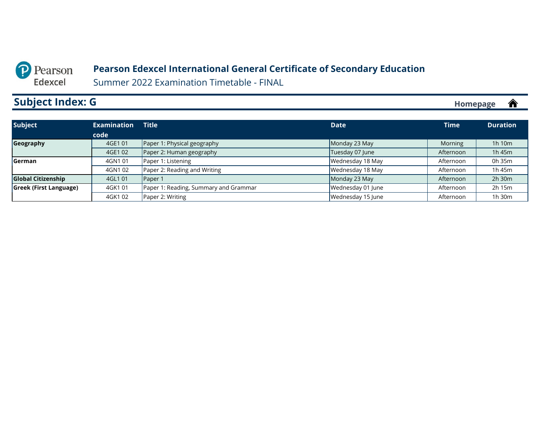#### **Pearson Edexcel International General Certificate of Secondary Education**

Summer 2022 Examination Timetable - FINAL

# <span id="page-14-0"></span>**Subject Index: G**

| <b>Subject</b>                | <b>Examination</b> | <b>Title</b>                          | <b>Date</b>       | <b>Time</b> | <b>Duration</b> |
|-------------------------------|--------------------|---------------------------------------|-------------------|-------------|-----------------|
|                               | code               |                                       |                   |             |                 |
| Geography                     | 4GE1 01            | Paper 1: Physical geography           | Monday 23 May     | Morning     | 1h 10m          |
|                               | 4GE1 02            | Paper 2: Human geography              | Tuesday 07 June   | Afternoon   | 1h 45m          |
| <b>Serman</b>                 | 4GN1 01            | Paper 1: Listening                    | Wednesday 18 May  | Afternoon   | 0h 35m          |
|                               | 4GN102             | Paper 2: Reading and Writing          | Wednesday 18 May  | Afternoon   | 1h 45m          |
| <b>Global Citizenship</b>     | 4GL1 01            | Paper 1                               | Monday 23 May     | Afternoon   | $2h$ 30 $m$     |
| <b>Greek (First Language)</b> | 4GK101             | Paper 1: Reading, Summary and Grammar | Wednesday 01 June | Afternoon   | 2h 15m          |
|                               | 4GK102             | Paper 2: Writing                      | Wednesday 15 June | Afternoon   | 1h 30m          |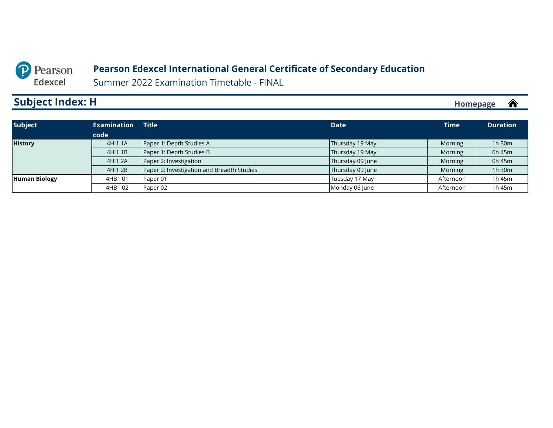#### **Pearson Edexcel International General Certificate of Secondary Education**

Summer 2022 Examination Timetable - FINAL

# <span id="page-15-0"></span>**Subject Index: H**

| <b>Subject</b>       | <b>Examination</b> | <b>Title</b>                               | <b>Date</b>      | <b>Time</b> | <b>Duration</b> |
|----------------------|--------------------|--------------------------------------------|------------------|-------------|-----------------|
|                      | code               |                                            |                  |             |                 |
| <b>History</b>       | 4HI1 1A            | Paper 1: Depth Studies A                   | Thursday 19 May  | Morning     | 1h 30m          |
|                      | 4HI1 1B            | Paper 1: Depth Studies B                   | Thursday 19 May  | Morning     | 0h 45m          |
|                      | 4HI1 2A            | Paper 2: Investigation                     | Thursday 09 June | Morning     | 0h 45m          |
|                      | 4HI1 2B            | Paper 2: Investigation and Breadth Studies | Thursday 09 June | Morning     | 1h 30m          |
| <b>Human Biology</b> | 4HB101             | Paper 01                                   | Tuesday 17 May   | Afternoon   | 1h 45m          |
|                      | 4HB102             | Paper 02                                   | Monday 06 June   | Afternoon   | 1h 45m          |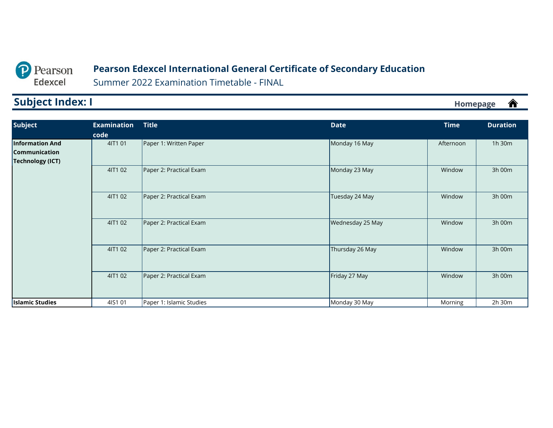### **Pearson Edexcel International General Certificate of Secondary Education**

Summer 2022 Examination Timetable - FINAL

# <span id="page-16-0"></span>**Subject Index: I**

| <b>Subject</b>                                                     | <b>Examination</b><br>code | <b>Title</b>             | <b>Date</b>      | <b>Time</b> | <b>Duration</b> |
|--------------------------------------------------------------------|----------------------------|--------------------------|------------------|-------------|-----------------|
| <b>Information And</b><br><b>Communication</b><br>Technology (ICT) | 4IT1 01                    | Paper 1: Written Paper   | Monday 16 May    | Afternoon   | 1h 30m          |
|                                                                    | 4IT1 02                    | Paper 2: Practical Exam  | Monday 23 May    | Window      | 3h 00m          |
|                                                                    | 4IT1 02                    | Paper 2: Practical Exam  | Tuesday 24 May   | Window      | 3h 00m          |
|                                                                    | 4IT1 02                    | Paper 2: Practical Exam  | Wednesday 25 May | Window      | 3h 00m          |
|                                                                    | 4IT1 02                    | Paper 2: Practical Exam  | Thursday 26 May  | Window      | 3h 00m          |
|                                                                    | 4IT1 02                    | Paper 2: Practical Exam  | Friday 27 May    | Window      | 3h 00m          |
| <b>Islamic Studies</b>                                             | 4IS1 01                    | Paper 1: Islamic Studies | Monday 30 May    | Morning     | 2h 30m          |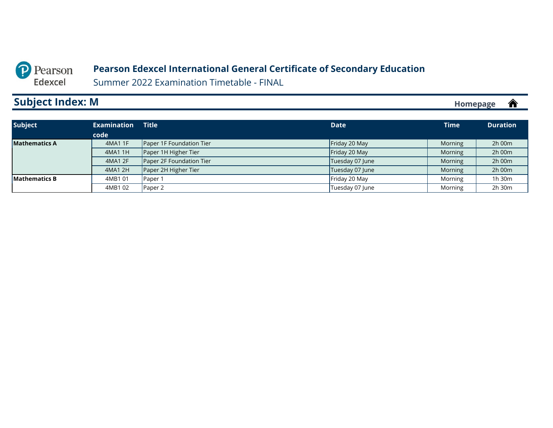#### **Pearson Edexcel International General Certificate of Secondary Education**

Summer 2022 Examination Timetable - FINAL

# <span id="page-17-0"></span>**Subject Index: M**

| <b>Subject</b>       | <b>Examination</b> | <b>Title</b>             | <b>Date</b>     | <b>Time</b> | <b>Duration</b> |
|----------------------|--------------------|--------------------------|-----------------|-------------|-----------------|
|                      | code               |                          |                 |             |                 |
| <b>Mathematics A</b> | 4MA1 1F            | Paper 1F Foundation Tier | Friday 20 May   | Morning     | 2h 00m          |
|                      | 4MA1 1H            | Paper 1H Higher Tier     | Friday 20 May   | Morning     | 2h 00m          |
|                      | 4MA1 2F            | Paper 2F Foundation Tier | Tuesday 07 June | Morning     | 2h 00m          |
|                      | 4MA1 2H            | Paper 2H Higher Tier     | Tuesday 07 June | Morning     | 2h 00m          |
| <b>Mathematics B</b> | 4MB101             | Paper 1                  | Friday 20 May   | Morning     | 1h 30m          |
|                      | 4MB102             | Paper 2                  | Tuesday 07 June | Morning     | 2h 30m          |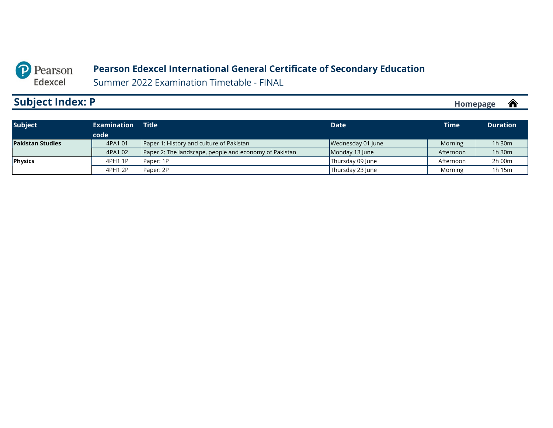#### **Pearson Edexcel International General Certificate of Secondary Education**

Summer 2022 Examination Timetable - FINAL

# <span id="page-18-0"></span>**Subject Index: P**

| <b>Subject</b>          | Examination | <b>Title</b>                                           | <b>Date</b>       | <b>Time</b> | <b>Duration</b> |
|-------------------------|-------------|--------------------------------------------------------|-------------------|-------------|-----------------|
|                         | code        |                                                        |                   |             |                 |
| <b>Pakistan Studies</b> | 4PA1 01     | Paper 1: History and culture of Pakistan               | Wednesday 01 June | Morning     | $1h$ 30 $m$     |
|                         | 4PA1 02     | Paper 2: The landscape, people and economy of Pakistan | Monday 13 June    | Afternoon   | 1h 30m          |
| <b>Physics</b>          | 4PH1 1P     | Paper: 1P                                              | Thursday 09 June  | Afternoon   | 2h 00m          |
|                         | 4PH1 2P     | Paper: 2P                                              | Thursday 23 June  | Morning     | 1h 15m          |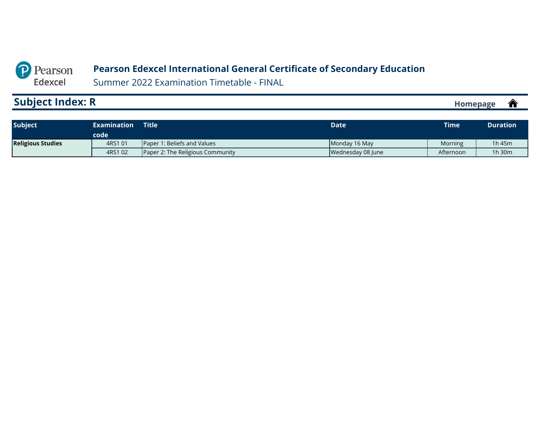#### **Pearson Edexcel International General Certificate of Secondary Education**

Summer 2022 Examination Timetable - FINAL

# <span id="page-19-0"></span>**Subject Index: R**

| <b>Subject</b>           | <b>Examination</b><br>code | <b>Title</b>                            | Date              | <b>Time</b> | <b>Duration</b> |
|--------------------------|----------------------------|-----------------------------------------|-------------------|-------------|-----------------|
| <b>Religious Studies</b> | 4RS1 01                    | <b>Paper 1: Beliefs and Values</b>      | Monday 16 May     | Morning     | 1h 45m          |
|                          | 4RS1 02                    | <b>Paper 2: The Religious Community</b> | Wednesday 08 June | Afternoon   | 1h 30m          |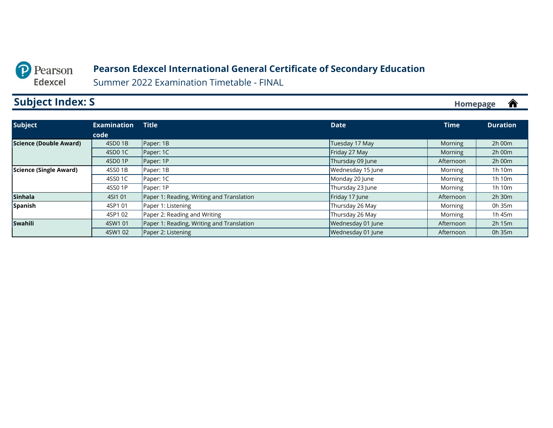#### **Pearson Edexcel International General Certificate of Secondary Education**

Summer 2022 Examination Timetable - FINAL

# <span id="page-20-0"></span>**Subject Index: S**

| <b>Subject</b>         | <b>Examination</b> | <b>Title</b>                              | <b>Date</b>       | <b>Time</b> | <b>Duration</b> |
|------------------------|--------------------|-------------------------------------------|-------------------|-------------|-----------------|
|                        | code               |                                           |                   |             |                 |
| Science (Double Award) | 4SD0 1B            | Paper: 1B                                 | Tuesday 17 May    | Morning     | $2h$ 00 $m$     |
|                        | 4SD0 1C            | Paper: 1C                                 | Friday 27 May     | Morning     | 2h 00m          |
|                        | 4SD0 1P            | Paper: 1P                                 | Thursday 09 June  | Afternoon   | 2h 00m          |
| Science (Single Award) | 4SS0 1B            | Paper: 1B                                 | Wednesday 15 June | Morning     | 1h 10m          |
|                        | 4SS0 1C            | Paper: 1C                                 | Monday 20 June    | Morning     | 1h 10m          |
|                        | 4SS0 1P            | Paper: 1P                                 | Thursday 23 June  | Morning     | 1h 10m          |
| Sinhala                | 4SI1 01            | Paper 1: Reading, Writing and Translation | Friday 17 June    | Afternoon   | $2h$ 30 $m$     |
| Spanish                | 4SP1 01            | Paper 1: Listening                        | Thursday 26 May   | Morning     | 0h 35m          |
|                        | 4SP1 02            | Paper 2: Reading and Writing              | Thursday 26 May   | Morning     | 1h 45m          |
| <b>Swahili</b>         | 4SW1 01            | Paper 1: Reading, Writing and Translation | Wednesday 01 June | Afternoon   | 2h 15m          |
|                        | 4SW1 02            | Paper 2: Listening                        | Wednesday 01 June | Afternoon   | 0h 35m          |